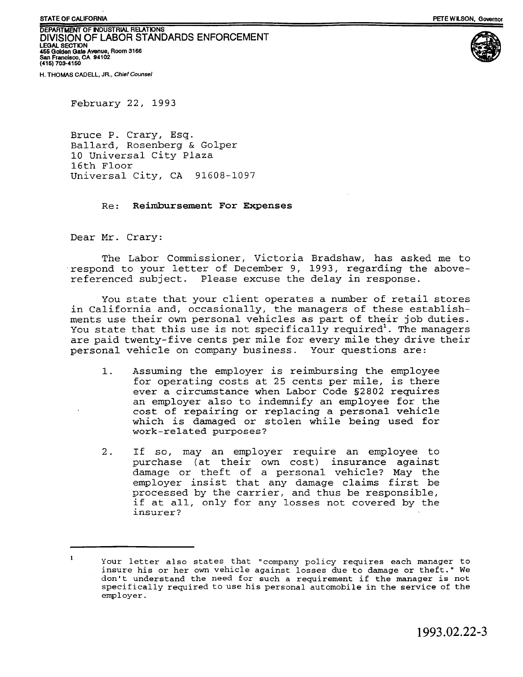**DEPARTMENT OF INDUSTRIAL RELATIONS** DIVISION OF LABOR STANDARDS ENFORCEMENT **LEGAL SECTION 455 Golden Gate Avenue, Room 3166 San Francisco, CA 94102 (415) 703-4150**



**H. THOMAS CADELL, JR.,** *Chief Counsel*

February 22, 1993

Bruce P. Crary, Esq. Ballard, Rosenberg & Golper 10 Universal City Plaza 16th Floor Universal City, CA 91608-1097

## Re : **Reimbursement For Expenses**

Dear Mr. Crary:

The Labor Commissioner, Victoria Bradshaw, has asked me to respond to your letter of December 9, 1993, regarding the abovereferenced subject. Please excuse the delay in response.

You state that your client operates a number of retail stores in California and, occasionally, the managers of these establishments use their own personal vehicles as part of their job duties. You state that this use is not specifically required<sup>1</sup>. The managers are paid twenty-five cents per mile for every mile they drive their personal vehicle on company business. Your questions are:

- 1. Assuming the employer is reimbursing the employee for operating costs at 25 cents per mile, is there ever a circumstance when Labor Code §2802 requires an employer also to indemnify an employee for the cost of repairing or replacing a personal vehicle which is damaged or stolen while being used for work-related purposes?
- 2. If so, may an employer require an employee to purchase (at their own cost) insurance against damage or theft of a personal vehicle? May the employer insist that any damage claims first be processed by the carrier, and thus be responsible, if at all, only for any losses not covered by the insurer?

<sup>&</sup>lt;sup>1</sup> Your letter also states that "company policy requires each manager to insure his or her own vehicle against losses due to damage or theft." We don't understand the need for such a requirement if the manager is not specifically required to use his personal automobile in the service of the employer.